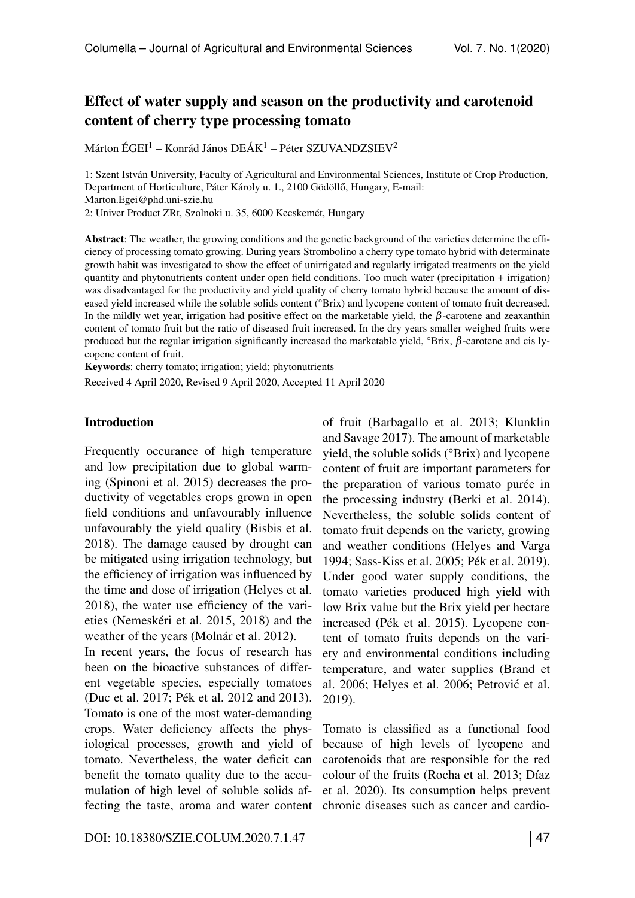# Effect of water supply and season on the productivity and carotenoid content of cherry type processing tomato

Márton ÉGEI<sup>1</sup> – Konrád János DEÁK<sup>1</sup> – Péter SZUVANDZSIEV<sup>2</sup>

1: Szent István University, Faculty of Agricultural and Environmental Sciences, Institute of Crop Production, Department of Horticulture, Páter Károly u. 1., 2100 Gödöllő, Hungary, E-mail: Marton.Egei@phd.uni-szie.hu

2: Univer Product ZRt, Szolnoki u. 35, 6000 Kecskemét, Hungary

Abstract: The weather, the growing conditions and the genetic background of the varieties determine the efficiency of processing tomato growing. During years Strombolino a cherry type tomato hybrid with determinate growth habit was investigated to show the effect of unirrigated and regularly irrigated treatments on the yield quantity and phytonutrients content under open field conditions. Too much water (precipitation + irrigation) was disadvantaged for the productivity and yield quality of cherry tomato hybrid because the amount of diseased yield increased while the soluble solids content (°Brix) and lycopene content of tomato fruit decreased. In the mildly wet year, irrigation had positive effect on the marketable yield, the  $\beta$ -carotene and zeaxanthin content of tomato fruit but the ratio of diseased fruit increased. In the dry years smaller weighed fruits were produced but the regular irrigation significantly increased the marketable yield,  ${}^{\circ}$ Brix,  $\beta$ -carotene and cis lycopene content of fruit.

Keywords: cherry tomato; irrigation; yield; phytonutrients

Received 4 April 2020, Revised 9 April 2020, Accepted 11 April 2020

#### Introduction

Frequently occurance of high temperature and low precipitation due to global warming (Spinoni et al. 2015) decreases the productivity of vegetables crops grown in open field conditions and unfavourably influence unfavourably the yield quality (Bisbis et al. 2018). The damage caused by drought can be mitigated using irrigation technology, but the efficiency of irrigation was influenced by the time and dose of irrigation (Helyes et al. 2018), the water use efficiency of the varieties (Nemeskéri et al. 2015, 2018) and the weather of the years (Molnár et al. 2012). In recent years, the focus of research has been on the bioactive substances of different vegetable species, especially tomatoes (Duc et al. 2017; Pék et al. 2012 and 2013). Tomato is one of the most water-demanding crops. Water deficiency affects the physiological processes, growth and yield of tomato. Nevertheless, the water deficit can benefit the tomato quality due to the accumulation of high level of soluble solids affecting the taste, aroma and water content chronic diseases such as cancer and cardio-

of fruit (Barbagallo et al. 2013; Klunklin and Savage 2017). The amount of marketable yield, the soluble solids (°Brix) and lycopene content of fruit are important parameters for the preparation of various tomato purée in the processing industry (Berki et al. 2014). Nevertheless, the soluble solids content of tomato fruit depends on the variety, growing and weather conditions (Helyes and Varga 1994; Sass-Kiss et al. 2005; Pék et al. 2019). Under good water supply conditions, the tomato varieties produced high yield with low Brix value but the Brix yield per hectare increased (Pék et al. 2015). Lycopene content of tomato fruits depends on the variety and environmental conditions including temperature, and water supplies (Brand et al. 2006; Helyes et al. 2006; Petrovic et al. ´ 2019).

Tomato is classified as a functional food because of high levels of lycopene and carotenoids that are responsible for the red colour of the fruits (Rocha et al. 2013; Díaz et al. 2020). Its consumption helps prevent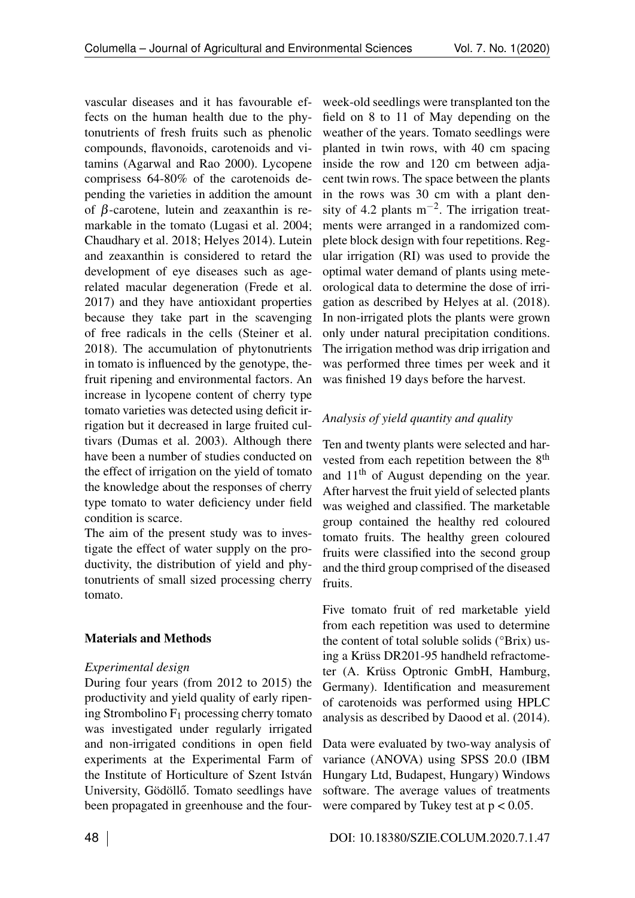vascular diseases and it has favourable effects on the human health due to the phytonutrients of fresh fruits such as phenolic compounds, flavonoids, carotenoids and vitamins (Agarwal and Rao 2000). Lycopene comprisess 64-80% of the carotenoids depending the varieties in addition the amount of  $\beta$ -carotene, lutein and zeaxanthin is remarkable in the tomato (Lugasi et al. 2004; Chaudhary et al. 2018; Helyes 2014). Lutein and zeaxanthin is considered to retard the development of eye diseases such as agerelated macular degeneration (Frede et al. 2017) and they have antioxidant properties because they take part in the scavenging of free radicals in the cells (Steiner et al. 2018). The accumulation of phytonutrients in tomato is influenced by the genotype, thefruit ripening and environmental factors. An increase in lycopene content of cherry type tomato varieties was detected using deficit irrigation but it decreased in large fruited cultivars (Dumas et al. 2003). Although there have been a number of studies conducted on the effect of irrigation on the yield of tomato the knowledge about the responses of cherry type tomato to water deficiency under field condition is scarce.

The aim of the present study was to investigate the effect of water supply on the productivity, the distribution of yield and phytonutrients of small sized processing cherry tomato.

## Materials and Methods

### *Experimental design*

During four years (from 2012 to 2015) the productivity and yield quality of early ripening Strombolino  $F_1$  processing cherry tomato was investigated under regularly irrigated and non-irrigated conditions in open field experiments at the Experimental Farm of the Institute of Horticulture of Szent István University, Gödöllő. Tomato seedlings have been propagated in greenhouse and the four-

week-old seedlings were transplanted ton the field on 8 to 11 of May depending on the weather of the years. Tomato seedlings were planted in twin rows, with 40 cm spacing inside the row and 120 cm between adjacent twin rows. The space between the plants in the rows was 30 cm with a plant density of 4.2 plants  $m^{-2}$ . The irrigation treatments were arranged in a randomized complete block design with four repetitions. Regular irrigation (RI) was used to provide the optimal water demand of plants using meteorological data to determine the dose of irrigation as described by Helyes at al. (2018). In non-irrigated plots the plants were grown only under natural precipitation conditions. The irrigation method was drip irrigation and was performed three times per week and it was finished 19 days before the harvest.

## *Analysis of yield quantity and quality*

Ten and twenty plants were selected and harvested from each repetition between the 8<sup>th</sup> and 11<sup>th</sup> of August depending on the year. After harvest the fruit yield of selected plants was weighed and classified. The marketable group contained the healthy red coloured tomato fruits. The healthy green coloured fruits were classified into the second group and the third group comprised of the diseased fruits.

Five tomato fruit of red marketable yield from each repetition was used to determine the content of total soluble solids (°Brix) using a Krüss DR201-95 handheld refractometer (A. Krüss Optronic GmbH, Hamburg, Germany). Identification and measurement of carotenoids was performed using HPLC analysis as described by Daood et al. (2014).

Data were evaluated by two-way analysis of variance (ANOVA) using SPSS 20.0 (IBM Hungary Ltd, Budapest, Hungary) Windows software. The average values of treatments were compared by Tukey test at  $p < 0.05$ .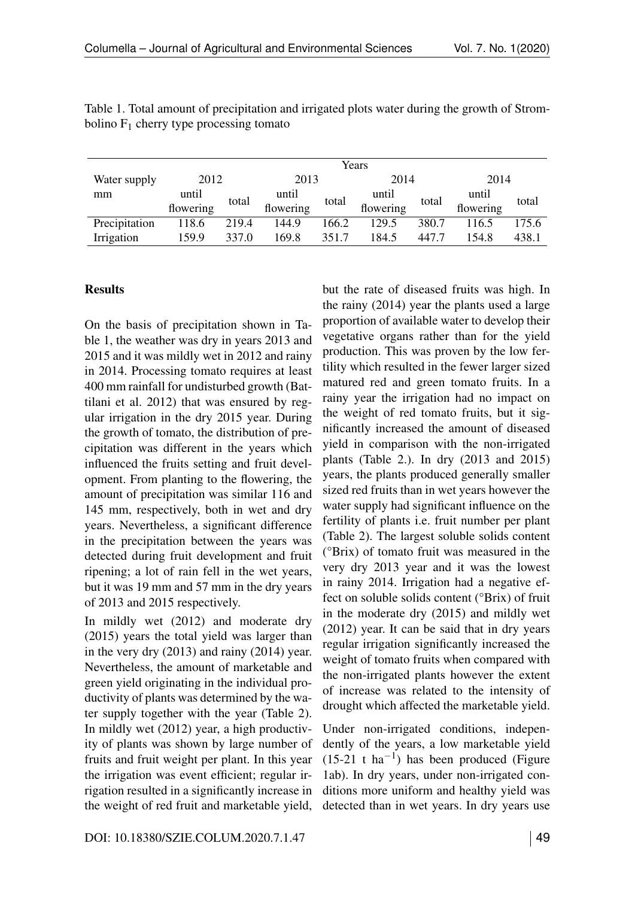|               | Years     |       |           |       |           |       |           |       |
|---------------|-----------|-------|-----------|-------|-----------|-------|-----------|-------|
| Water supply  | 2012      |       | 2013      |       | 2014      |       | 2014      |       |
| mm            | until     | total | until     | total | until     | total | until     | total |
|               | flowering |       | flowering |       | flowering |       | flowering |       |
| Precipitation | 118.6     | 219.4 | 144.9     | 166.2 | 129.5     | 380.7 | 116.5     | 175.6 |
| Irrigation    | 159.9     | 337.0 | 169.8     | 351.7 | 184.5     | 447.7 | 154.8     | 438.1 |

Table 1. Total amount of precipitation and irrigated plots water during the growth of Strombolino  $F_1$  cherry type processing tomato

#### **Results**

On the basis of precipitation shown in Table [1,](#page--1-0) the weather was dry in years 2013 and 2015 and it was mildly wet in 2012 and rainy in 2014. Processing tomato requires at least 400 mm rainfall for undisturbed growth (Battilani et al. 2012) that was ensured by regular irrigation in the dry 2015 year. During the growth of tomato, the distribution of precipitation was different in the years which influenced the fruits setting and fruit development. From planting to the flowering, the amount of precipitation was similar 116 and 145 mm, respectively, both in wet and dry years. Nevertheless, a significant difference in the precipitation between the years was detected during fruit development and fruit ripening; a lot of rain fell in the wet years, but it was 19 mm and 57 mm in the dry years of 2013 and 2015 respectively.

In mildly wet (2012) and moderate dry (2015) years the total yield was larger than in the very dry (2013) and rainy (2014) year. Nevertheless, the amount of marketable and green yield originating in the individual productivity of plants was determined by the water supply together with the year (Table [2\)](#page--1-1). In mildly wet (2012) year, a high productivity of plants was shown by large number of fruits and fruit weight per plant. In this year the irrigation was event efficient; regular irrigation resulted in a significantly increase in the weight of red fruit and marketable yield, but the rate of diseased fruits was high. In the rainy (2014) year the plants used a large proportion of available water to develop their vegetative organs rather than for the yield production. This was proven by the low fertility which resulted in the fewer larger sized matured red and green tomato fruits. In a rainy year the irrigation had no impact on the weight of red tomato fruits, but it significantly increased the amount of diseased yield in comparison with the non-irrigated plants (Table [2.](#page--1-1)). In dry (2013 and 2015) years, the plants produced generally smaller sized red fruits than in wet years however the water supply had significant influence on the fertility of plants i.e. fruit number per plant (Table [2\)](#page--1-1). The largest soluble solids content (°Brix) of tomato fruit was measured in the very dry 2013 year and it was the lowest in rainy 2014. Irrigation had a negative effect on soluble solids content (°Brix) of fruit in the moderate dry (2015) and mildly wet (2012) year. It can be said that in dry years regular irrigation significantly increased the weight of tomato fruits when compared with the non-irrigated plants however the extent of increase was related to the intensity of drought which affected the marketable yield.

Under non-irrigated conditions, independently of the years, a low marketable yield  $(15-21 \text{ t} \text{ ha}^{-1})$  has been produced (Figure [1a](#page-7-0)b). In dry years, under non-irrigated conditions more uniform and healthy yield was detected than in wet years. In dry years use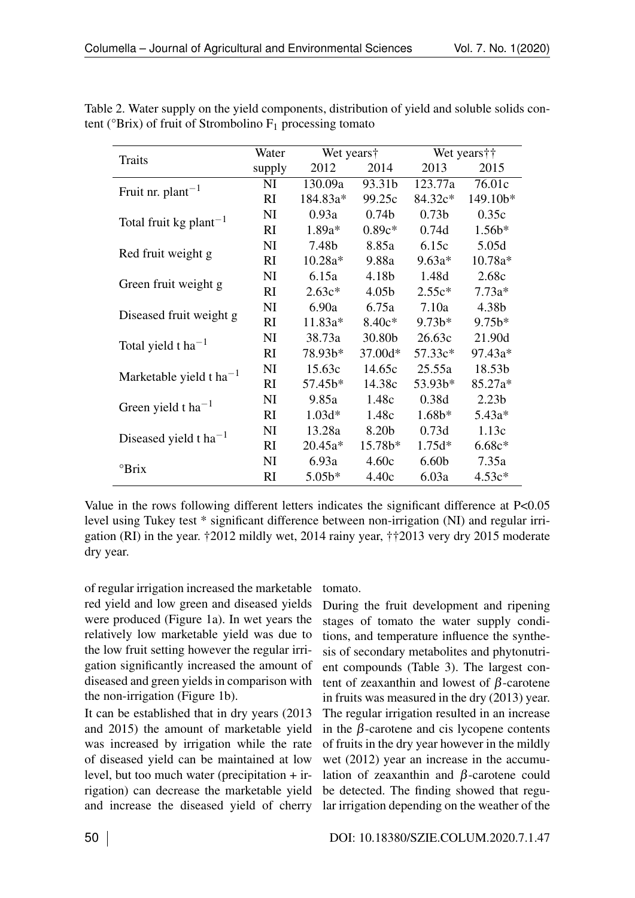| <b>Traits</b>                                  | Water     | Wet years† |                   |                   | Wet years † †     |  |
|------------------------------------------------|-----------|------------|-------------------|-------------------|-------------------|--|
|                                                | supply    | 2012       | 2014              | 2013              | 2015              |  |
| Fruit nr. $plan^{-1}$                          | NI        | 130.09a    | 93.31b            | 123.77a           | 76.01c            |  |
|                                                | <b>RI</b> | 184.83a*   | 99.25c            | 84.32c*           | 149.10b*          |  |
|                                                | NI        | 0.93a      | 0.74 <sub>b</sub> | 0.73 <sub>b</sub> | 0.35c             |  |
| Total fruit kg plant <sup>-1</sup>             | RI        | $1.89a*$   | $0.89c*$          | 0.74d             | $1.56b*$          |  |
|                                                | NI        | 7.48b      | 8.85a             | 6.15c             | 5.05d             |  |
| Red fruit weight g                             | RI        | $10.28a*$  | 9.88a             | $9.63a*$          | $10.78a*$         |  |
|                                                | NI        | 6.15a      | 4.18b             | 1.48d             | 2.68c             |  |
| Green fruit weight g                           | <b>RI</b> | $2.63c*$   | 4.05 <sub>b</sub> | $2.55c*$          | $7.73a*$          |  |
|                                                | NI        | 6.90a      | 6.75a             | 7.10a             | 4.38b             |  |
| Diseased fruit weight g                        | <b>RI</b> | $11.83a*$  | $8.40c*$          | $9.73b*$          | $9.75b*$          |  |
|                                                | NI        | 38.73a     | 30.80b            | 26.63c            | 21.90d            |  |
| Total yield t $ha^{-1}$                        | <b>RI</b> | 78.93b*    | 37.00d*           | $57.33c*$         | 97.43a*           |  |
|                                                | NI        | 15.63c     | 14.65c            | 25.55a            | 18.53b            |  |
| Marketable yield t ha <sup>-1</sup>            | RI        | $57.45b*$  | 14.38c            | $53.93b*$         | 85.27a*           |  |
|                                                | NI        | 9.85a      | 1.48c             | 0.38d             | 2.23 <sub>b</sub> |  |
| Green yield t ha <sup>-1</sup>                 | <b>RI</b> | $1.03d*$   | 1.48c             | $1.68b*$          | $5.43a*$          |  |
|                                                | NI        | 13.28a     | 8.20b             | 0.73d             | 1.13c             |  |
| Diseased yield t ha <sup><math>-1</math></sup> | <b>RI</b> | $20.45a*$  | $15.78b*$         | $1.75d*$          | $6.68c*$          |  |
|                                                | NI        | 6.93a      | 4.60c             | 6.60 <sub>b</sub> | 7.35a             |  |
| $\mathrm{Prix}$                                | <b>RI</b> | $5.05b*$   | 4.40c             | 6.03a             | $4.53c*$          |  |

Table 2. Water supply on the yield components, distribution of yield and soluble solids content ( ${}^{\circ}$ Brix) of fruit of Strombolino  $F_1$  processing tomato

Value in the rows following different letters indicates the significant difference at P<0.05 level using Tukey test \* significant difference between non-irrigation (NI) and regular irrigation (RI) in the year. †2012 mildly wet, 2014 rainy year, ††2013 very dry 2015 moderate dry year.

of regular irrigation increased the marketable red yield and low green and diseased yields were produced (Figure [1a](#page-7-0)). In wet years the relatively low marketable yield was due to the low fruit setting however the regular irrigation significantly increased the amount of diseased and green yields in comparison with the non-irrigation (Figure [1b](#page-7-0)).

It can be established that in dry years (2013 and 2015) the amount of marketable yield was increased by irrigation while the rate of diseased yield can be maintained at low level, but too much water (precipitation + irrigation) can decrease the marketable yield and increase the diseased yield of cherry

tomato.

During the fruit development and ripening stages of tomato the water supply conditions, and temperature influence the synthesis of secondary metabolites and phytonutrient compounds (Table [3\)](#page--1-2). The largest content of zeaxanthin and lowest of  $\beta$ -carotene in fruits was measured in the dry (2013) year. The regular irrigation resulted in an increase in the  $\beta$ -carotene and cis lycopene contents of fruits in the dry year however in the mildly wet (2012) year an increase in the accumulation of zeaxanthin and  $\beta$ -carotene could be detected. The finding showed that regular irrigation depending on the weather of the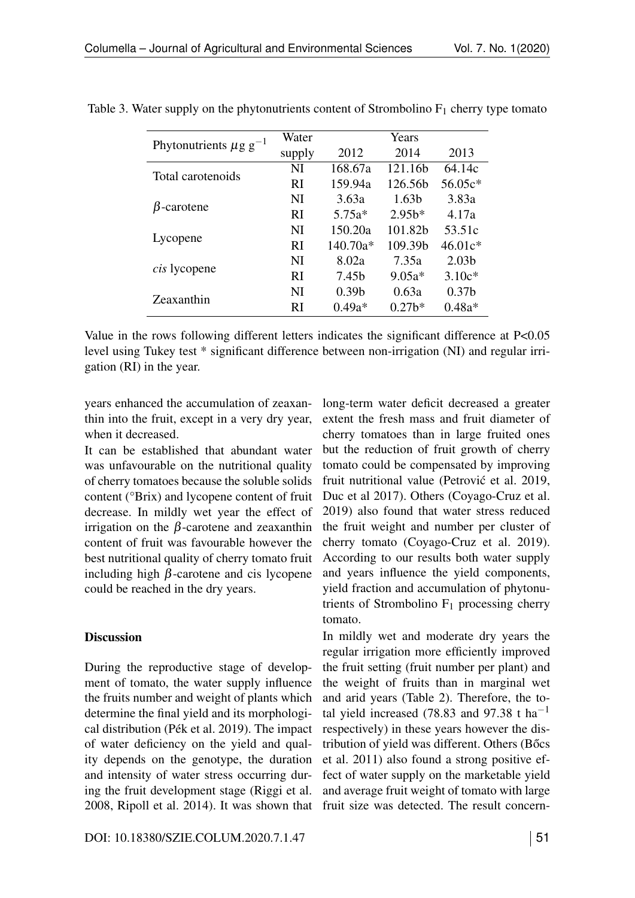| Phytonutrients $\mu$ g g <sup>-1</sup> | Water     | Years             |                   |                   |  |
|----------------------------------------|-----------|-------------------|-------------------|-------------------|--|
|                                        | supply    | 2012              | 2014              | 2013              |  |
| Total carotenoids                      | NI        | 168.67a           | 121.16b           | 64.14c            |  |
|                                        | <b>RI</b> | 159.94a           | 126.56b           | 56.05c*           |  |
| $\beta$ -carotene                      | NI        | 3.63a             | 1.63 <sub>b</sub> | 3.83a             |  |
|                                        | <b>RI</b> | $5.75a*$          | 2.95 <sup>k</sup> | 4.17a             |  |
| Lycopene                               | NI        | 150.20a           | 101.82b           | 53.51c            |  |
|                                        | <b>RI</b> | $140.70a*$        | 109.39b           | $46.01c*$         |  |
| <i>cis</i> lycopene                    | NI        | 8.02a             | 7.35a             | 2.03 <sub>b</sub> |  |
|                                        | <b>RI</b> | 7.45 <sub>b</sub> | $9.05a*$          | $3.10c*$          |  |
| Zeaxanthin                             | NI        | 0.39 <sub>b</sub> | 0.63a             | 0.37 <sub>b</sub> |  |
|                                        | RI        | $0.49a*$          | 0.27 <sup>k</sup> | $0.48a*$          |  |

Table 3. Water supply on the phytonutrients content of Strombolino  $F_1$  cherry type tomato

Value in the rows following different letters indicates the significant difference at P<0.05 level using Tukey test \* significant difference between non-irrigation (NI) and regular irrigation (RI) in the year.

years enhanced the accumulation of zeaxanthin into the fruit, except in a very dry year, when it decreased.

It can be established that abundant water was unfavourable on the nutritional quality of cherry tomatoes because the soluble solids content (°Brix) and lycopene content of fruit decrease. In mildly wet year the effect of irrigation on the  $\beta$ -carotene and zeaxanthin content of fruit was favourable however the best nutritional quality of cherry tomato fruit including high  $\beta$ -carotene and cis lycopene could be reached in the dry years.

#### **Discussion**

During the reproductive stage of development of tomato, the water supply influence the fruits number and weight of plants which determine the final yield and its morphological distribution (Pék et al. 2019). The impact of water deficiency on the yield and quality depends on the genotype, the duration and intensity of water stress occurring during the fruit development stage (Riggi et al. 2008, Ripoll et al. 2014). It was shown that long-term water deficit decreased a greater extent the fresh mass and fruit diameter of cherry tomatoes than in large fruited ones but the reduction of fruit growth of cherry tomato could be compensated by improving fruit nutritional value (Petrović et al. 2019, Duc et al 2017). Others (Coyago-Cruz et al. 2019) also found that water stress reduced the fruit weight and number per cluster of cherry tomato (Coyago-Cruz et al. 2019). According to our results both water supply and years influence the yield components, yield fraction and accumulation of phytonutrients of Strombolino  $F_1$  processing cherry tomato.

In mildly wet and moderate dry years the regular irrigation more efficiently improved the fruit setting (fruit number per plant) and the weight of fruits than in marginal wet and arid years (Table [2\)](#page--1-1). Therefore, the total yield increased (78.83 and 97.38 t ha<sup>-1</sup> respectively) in these years however the distribution of yield was different. Others (Bőcs et al. 2011) also found a strong positive effect of water supply on the marketable yield and average fruit weight of tomato with large fruit size was detected. The result concern-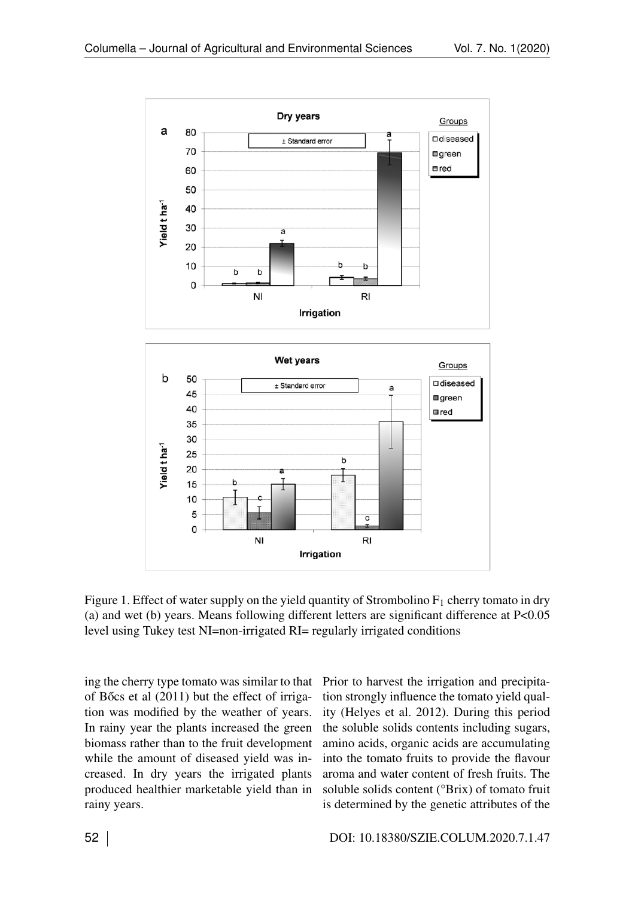

Figure 1. Effect of water supply on the yield quantity of Strombolino  $F_1$  cherry tomato in dry (a) and wet (b) years. Means following different letters are significant difference at P<0.05 level using Tukey test NI=non-irrigated RI= regularly irrigated conditions

ing the cherry type tomato was similar to that of Bőcs et al  $(2011)$  but the effect of irrigation was modified by the weather of years. In rainy year the plants increased the green biomass rather than to the fruit development while the amount of diseased yield was increased. In dry years the irrigated plants produced healthier marketable yield than in rainy years.

Prior to harvest the irrigation and precipitation strongly influence the tomato yield quality (Helyes et al. 2012). During this period the soluble solids contents including sugars, amino acids, organic acids are accumulating into the tomato fruits to provide the flavour aroma and water content of fresh fruits. The soluble solids content (°Brix) of tomato fruit is determined by the genetic attributes of the

52 DOI: 10.18380/SZIE.COLUM.2020.7.1.47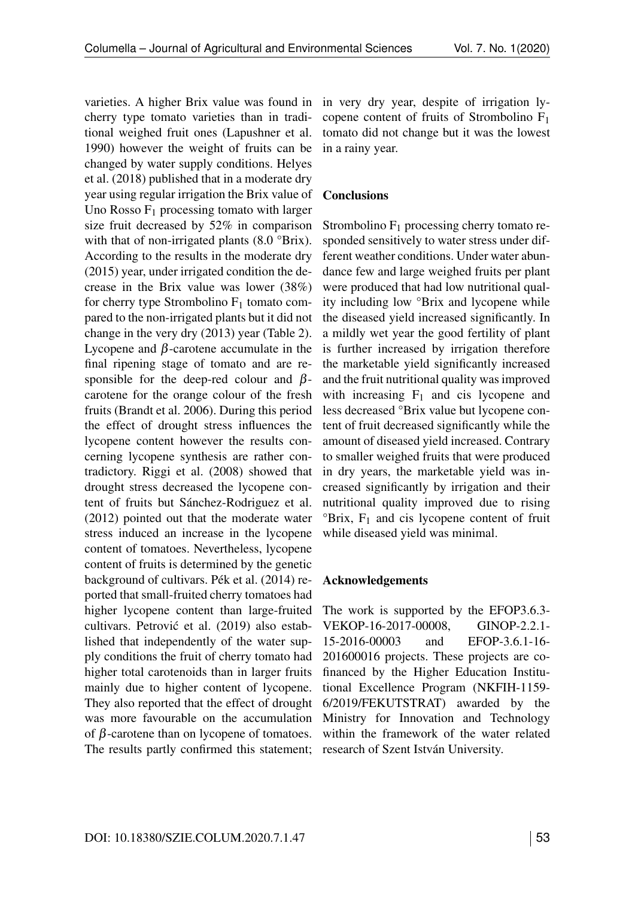varieties. A higher Brix value was found in cherry type tomato varieties than in traditional weighed fruit ones (Lapushner et al. 1990) however the weight of fruits can be changed by water supply conditions. Helyes et al. (2018) published that in a moderate dry year using regular irrigation the Brix value of Uno Rosso  $F_1$  processing tomato with larger size fruit decreased by 52% in comparison with that of non-irrigated plants (8.0 °Brix). According to the results in the moderate dry (2015) year, under irrigated condition the decrease in the Brix value was lower (38%) for cherry type Strombolino  $F_1$  tomato compared to the non-irrigated plants but it did not change in the very dry (2013) year (Table [2\)](#page--1-1). Lycopene and  $\beta$ -carotene accumulate in the final ripening stage of tomato and are responsible for the deep-red colour and  $\beta$ carotene for the orange colour of the fresh fruits (Brandt et al. 2006). During this period the effect of drought stress influences the lycopene content however the results concerning lycopene synthesis are rather contradictory. Riggi et al. (2008) showed that drought stress decreased the lycopene content of fruits but Sánchez-Rodriguez et al. (2012) pointed out that the moderate water stress induced an increase in the lycopene content of tomatoes. Nevertheless, lycopene content of fruits is determined by the genetic background of cultivars. Pék et al. (2014) reported that small-fruited cherry tomatoes had higher lycopene content than large-fruited cultivars. Petrović et al. (2019) also established that independently of the water supply conditions the fruit of cherry tomato had higher total carotenoids than in larger fruits mainly due to higher content of lycopene. They also reported that the effect of drought was more favourable on the accumulation of  $\beta$ -carotene than on lycopene of tomatoes. The results partly confirmed this statement; in very dry year, despite of irrigation lycopene content of fruits of Strombolino F1 tomato did not change but it was the lowest in a rainy year.

#### **Conclusions**

Strombolino  $F_1$  processing cherry tomato responded sensitively to water stress under different weather conditions. Under water abundance few and large weighed fruits per plant were produced that had low nutritional quality including low °Brix and lycopene while the diseased yield increased significantly. In a mildly wet year the good fertility of plant is further increased by irrigation therefore the marketable yield significantly increased and the fruit nutritional quality was improved with increasing  $F_1$  and cis lycopene and less decreased °Brix value but lycopene content of fruit decreased significantly while the amount of diseased yield increased. Contrary to smaller weighed fruits that were produced in dry years, the marketable yield was increased significantly by irrigation and their nutritional quality improved due to rising  ${}^{\circ}B$ rix, F<sub>1</sub> and cis lycopene content of fruit while diseased yield was minimal.

#### Acknowledgements

The work is supported by the EFOP3.6.3- VEKOP-16-2017-00008, GINOP-2.2.1- 15-2016-00003 and EFOP-3.6.1-16- 201600016 projects. These projects are cofinanced by the Higher Education Institutional Excellence Program (NKFIH-1159- 6/2019/FEKUTSTRAT) awarded by the Ministry for Innovation and Technology within the framework of the water related research of Szent István University.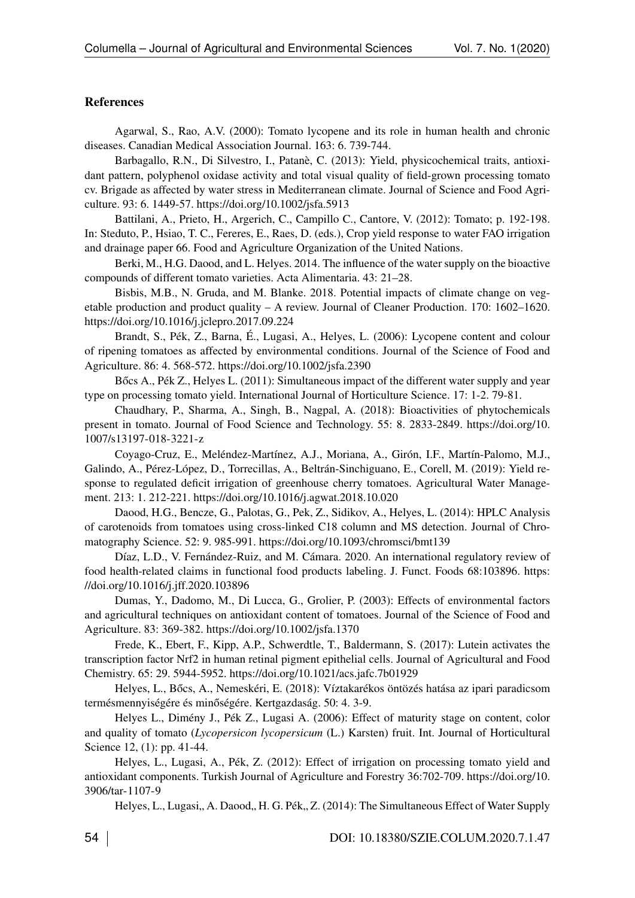#### References

Agarwal, S., Rao, A.V. (2000): Tomato lycopene and its role in human health and chronic diseases. Canadian Medical Association Journal. 163: 6. 739-744.

Barbagallo, R.N., Di Silvestro, I., Patanè, C. (2013): Yield, physicochemical traits, antioxidant pattern, polyphenol oxidase activity and total visual quality of field-grown processing tomato cv. Brigade as affected by water stress in Mediterranean climate. Journal of Science and Food Agriculture. 93: 6. 1449-57.<https://doi.org/10.1002/jsfa.5913>

Battilani, A., Prieto, H., Argerich, C., Campillo C., Cantore, V. (2012): Tomato; p. 192-198. In: Steduto, P., Hsiao, T. C., Fereres, E., Raes, D. (eds.), Crop yield response to water FAO irrigation and drainage paper 66. Food and Agriculture Organization of the United Nations.

Berki, M., H.G. Daood, and L. Helyes. 2014. The influence of the water supply on the bioactive compounds of different tomato varieties. Acta Alimentaria. 43: 21–28.

<span id="page-7-0"></span>Bisbis, M.B., N. Gruda, and M. Blanke. 2018. Potential impacts of climate change on vegetable production and product quality – A review. Journal of Cleaner Production. 170: 1602–1620. <https://doi.org/10.1016/j.jclepro.2017.09.224>

Brandt, S., Pék, Z., Barna, É., Lugasi, A., Helyes, L. (2006): Lycopene content and colour of ripening tomatoes as affected by environmental conditions. Journal of the Science of Food and Agriculture. 86: 4. 568-572. [https://doi.org/10.1002/jsfa.2390](%20https://doi.org/10.1002/jsfa.2390)

Bốcs A., Pék Z., Helyes L. (2011): Simultaneous impact of the different water supply and year type on processing tomato yield. International Journal of Horticulture Science. 17: 1-2. 79-81.

Chaudhary, P., Sharma, A., Singh, B., Nagpal, A. (2018): Bioactivities of phytochemicals present in tomato. Journal of Food Science and Technology. 55: 8. 2833-2849. [https://doi.org/10.](https://doi.org/10.1007/s13197-018-3221-z) [1007/s13197-018-3221-z](https://doi.org/10.1007/s13197-018-3221-z)

Coyago-Cruz, E., Meléndez-Martínez, A.J., Moriana, A., Girón, I.F., Martín-Palomo, M.J., Galindo, A., Pérez-López, D., Torrecillas, A., Beltrán-Sinchiguano, E., Corell, M. (2019): Yield response to regulated deficit irrigation of greenhouse cherry tomatoes. Agricultural Water Management. 213: 1. 212-221.<https://doi.org/10.1016/j.agwat.2018.10.020>

Daood, H.G., Bencze, G., Palotas, G., Pek, Z., Sidikov, A., Helyes, L. (2014): HPLC Analysis of carotenoids from tomatoes using cross-linked C18 column and MS detection. Journal of Chromatography Science. 52: 9. 985-991.<https://doi.org/10.1093/chromsci/bmt139>

Díaz, L.D., V. Fernández-Ruiz, and M. Cámara. 2020. An international regulatory review of food health-related claims in functional food products labeling. J. Funct. Foods 68:103896. [https:](https://doi.org/10.1016/j.jff.2020.103896) [//doi.org/10.1016/j.jff.2020.103896](https://doi.org/10.1016/j.jff.2020.103896)

Dumas, Y., Dadomo, M., Di Lucca, G., Grolier, P. (2003): Effects of environmental factors and agricultural techniques on antioxidant content of tomatoes. Journal of the Science of Food and Agriculture. 83: 369-382.<https://doi.org/10.1002/jsfa.1370>

Frede, K., Ebert, F., Kipp, A.P., Schwerdtle, T., Baldermann, S. (2017): Lutein activates the transcription factor Nrf2 in human retinal pigment epithelial cells. Journal of Agricultural and Food Chemistry. 65: 29. 5944-5952.<https://doi.org/10.1021/acs.jafc.7b01929>

Helyes, L., Bőcs, A., Nemeskéri, E. (2018): Víztakarékos öntözés hatása az ipari paradicsom termésmennyiségére és minőségére. Kertgazdaság. 50: 4. 3-9.

Helyes L., Dimény J., Pék Z., Lugasi A. (2006): Effect of maturity stage on content, color and quality of tomato (*Lycopersicon lycopersicum* (L.) Karsten) fruit. Int. Journal of Horticultural Science 12, (1): pp. 41-44.

Helyes, L., Lugasi, A., Pék, Z. (2012): Effect of irrigation on processing tomato yield and antioxidant components. Turkish Journal of Agriculture and Forestry 36:702-709. [https://doi.org/10.](https://doi.org/10.3906/tar-1107-9) [3906/tar-1107-9](https://doi.org/10.3906/tar-1107-9)

Helyes, L., Lugasi,, A. Daood,, H. G. Pék,, Z. (2014): The Simultaneous Effect of Water Supply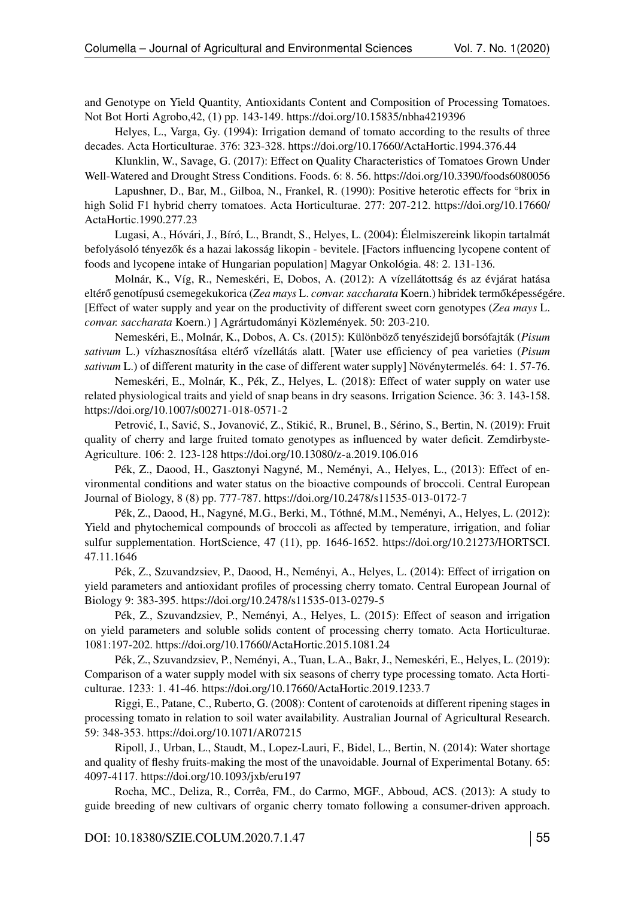and Genotype on Yield Quantity, Antioxidants Content and Composition of Processing Tomatoes. Not Bot Horti Agrobo,42, (1) pp. 143-149.<https://doi.org/10.15835/nbha4219396>

Helyes, L., Varga, Gy. (1994): Irrigation demand of tomato according to the results of three decades. Acta Horticulturae. 376: 323-328.<https://doi.org/10.17660/ActaHortic.1994.376.44>

Klunklin, W., Savage, G. (2017): Effect on Quality Characteristics of Tomatoes Grown Under Well-Watered and Drought Stress Conditions. Foods. 6: 8. 56.<https://doi.org/10.3390/foods6080056>

Lapushner, D., Bar, M., Gilboa, N., Frankel, R. (1990): Positive heterotic effects for °brix in high Solid F1 hybrid cherry tomatoes. Acta Horticulturae. 277: 207-212. [https://doi.org/10.17660/](https://doi.org/10.17660/ActaHortic.1990.277.23) [ActaHortic.1990.277.23](https://doi.org/10.17660/ActaHortic.1990.277.23)

Lugasi, A., Hóvári, J., Bíró, L., Brandt, S., Helyes, L. (2004): Élelmiszereink likopin tartalmát befolyásoló tényezők és a hazai lakosság likopin - bevitele. [Factors influencing lycopene content of foods and lycopene intake of Hungarian population] Magyar Onkológia. 48: 2. 131-136.

Molnár, K., Víg, R., Nemeskéri, E, Dobos, A. (2012): A vízellátottság és az évjárat hatása eltérő genotípusú csemegekukorica (Zea mays L. *convar. saccharata* Koern.) hibridek termőképességére. [Effect of water supply and year on the productivity of different sweet corn genotypes (*Zea mays* L. *convar. saccharata* Koern.) ] Agrártudományi Közlemények. 50: 203-210.

Nemeskéri, E., Molnár, K., Dobos, A. Cs. (2015): Különböző tenyészidejű borsófajták (Pisum *sativum* L.) vízhasznosítása eltérő vízellátás alatt. [Water use efficiency of pea varieties (Pisum *sativum* L.) of different maturity in the case of different water supply] Növénytermelés. 64: 1. 57-76.

Nemeskéri, E., Molnár, K., Pék, Z., Helyes, L. (2018): Effect of water supply on water use related physiological traits and yield of snap beans in dry seasons. Irrigation Science. 36: 3. 143-158. <https://doi.org/10.1007/s00271-018-0571-2>

Petrović, I., Savić, S., Jovanović, Z., Stikić, R., Brunel, B., Sérino, S., Bertin, N. (2019): Fruit quality of cherry and large fruited tomato genotypes as influenced by water deficit. Zemdirbyste-Agriculture. 106: 2. 123-128<https://doi.org/10.13080/z-a.2019.106.016>

Pék, Z., Daood, H., Gasztonyi Nagyné, M., Neményi, A., Helyes, L., (2013): Effect of environmental conditions and water status on the bioactive compounds of broccoli. Central European Journal of Biology, 8 (8) pp. 777-787.<https://doi.org/10.2478/s11535-013-0172-7>

Pék, Z., Daood, H., Nagyné, M.G., Berki, M., Tóthné, M.M., Neményi, A., Helyes, L. (2012): Yield and phytochemical compounds of broccoli as affected by temperature, irrigation, and foliar sulfur supplementation. HortScience, 47 (11), pp. 1646-1652. [https://doi.org/10.21273/HORTSCI.](https://doi.org/10.21273/HORTSCI.47.11.1646) [47.11.1646](https://doi.org/10.21273/HORTSCI.47.11.1646)

Pék, Z., Szuvandzsiev, P., Daood, H., Neményi, A., Helyes, L. (2014): Effect of irrigation on yield parameters and antioxidant profiles of processing cherry tomato. Central European Journal of Biology 9: 383-395.<https://doi.org/10.2478/s11535-013-0279-5>

Pék, Z., Szuvandzsiev, P., Neményi, A., Helyes, L. (2015): Effect of season and irrigation on yield parameters and soluble solids content of processing cherry tomato. Acta Horticulturae. 1081:197-202. [https://doi.org/10.17660/ActaHortic.2015.1081.24](https://doi.org/%2010.17660/ActaHortic.2015.1081.24)

Pék, Z., Szuvandzsiev, P., Neményi, A., Tuan, L.A., Bakr, J., Nemeskéri, E., Helyes, L. (2019): Comparison of a water supply model with six seasons of cherry type processing tomato. Acta Horticulturae. 1233: 1. 41-46.<https://doi.org/10.17660/ActaHortic.2019.1233.7>

Riggi, E., Patane, C., Ruberto, G. (2008): Content of carotenoids at different ripening stages in processing tomato in relation to soil water availability. Australian Journal of Agricultural Research. 59: 348-353.<https://doi.org/10.1071/AR07215>

Ripoll, J., Urban, L., Staudt, M., Lopez-Lauri, F., Bidel, L., Bertin, N. (2014): Water shortage and quality of fleshy fruits-making the most of the unavoidable. Journal of Experimental Botany. 65: 4097-4117.<https://doi.org/10.1093/jxb/eru197>

Rocha, MC., Deliza, R., Corrêa, FM., do Carmo, MGF., Abboud, ACS. (2013): A study to guide breeding of new cultivars of organic cherry tomato following a consumer-driven approach.